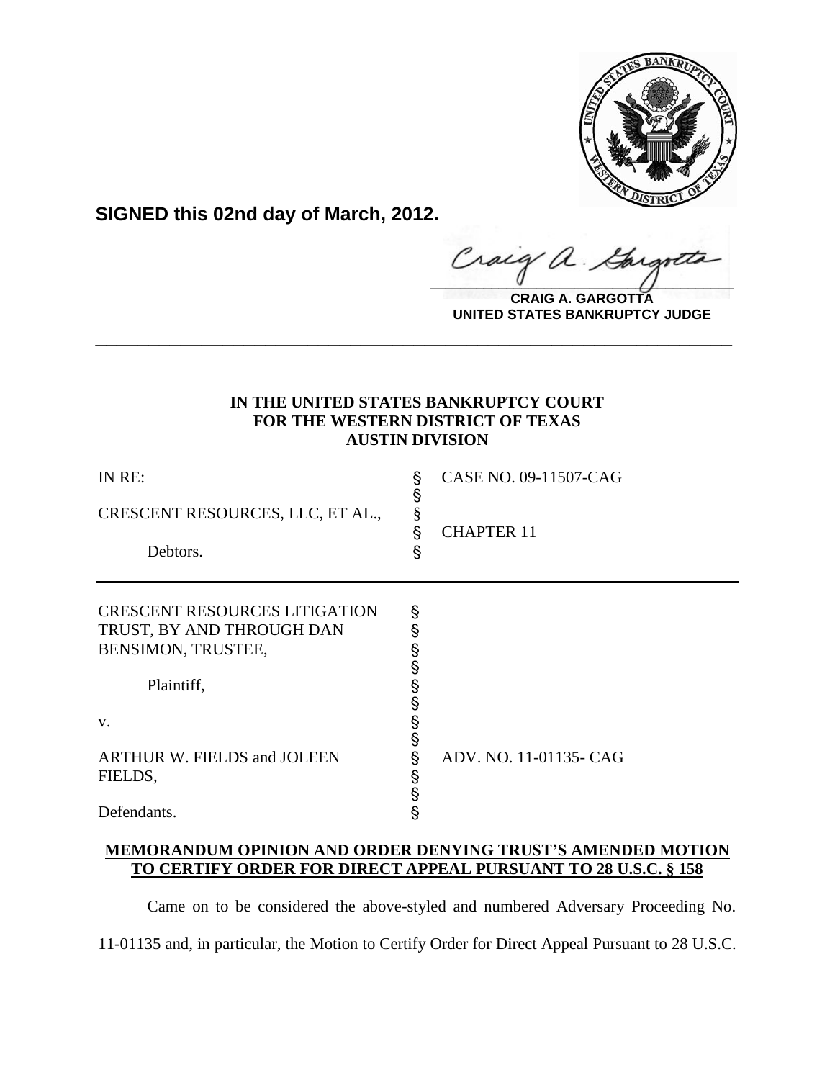

**SIGNED this 02nd day of March, 2012.**

raig  $\alpha$  .  $\frac{1}{2}$ 

**CRAIG A. GARGOTTA UNITED STATES BANKRUPTCY JUDGE**

# **IN THE UNITED STATES BANKRUPTCY COURT FOR THE WESTERN DISTRICT OF TEXAS AUSTIN DIVISION**

**\_\_\_\_\_\_\_\_\_\_\_\_\_\_\_\_\_\_\_\_\_\_\_\_\_\_\_\_\_\_\_\_\_\_\_\_\_\_\_\_\_\_\_\_\_\_\_\_\_\_\_\_\_\_\_\_\_\_\_\_**

| IN RE:<br>CRESCENT RESOURCES, LLC, ET AL.,<br>Debtors.                                                                                                                      | Ş<br>Ş<br>§<br>Ş<br>§                                    | CASE NO. 09-11507-CAG<br><b>CHAPTER 11</b> |
|-----------------------------------------------------------------------------------------------------------------------------------------------------------------------------|----------------------------------------------------------|--------------------------------------------|
| <b>CRESCENT RESOURCES LITIGATION</b><br>TRUST, BY AND THROUGH DAN<br>BENSIMON, TRUSTEE,<br>Plaintiff,<br>V.<br><b>ARTHUR W. FIELDS and JOLEEN</b><br>FIELDS,<br>Defendants. | Ş<br>§<br>Ş<br>Ŝ<br>§<br>§<br>§<br>§<br>§<br>§<br>န<br>§ | ADV. NO. 11-01135- CAG                     |

# **MEMORANDUM OPINION AND ORDER DENYING TRUST'S AMENDED MOTION TO CERTIFY ORDER FOR DIRECT APPEAL PURSUANT TO 28 U.S.C. § 158**

Came on to be considered the above-styled and numbered Adversary Proceeding No.

11-01135 and, in particular, the Motion to Certify Order for Direct Appeal Pursuant to 28 U.S.C.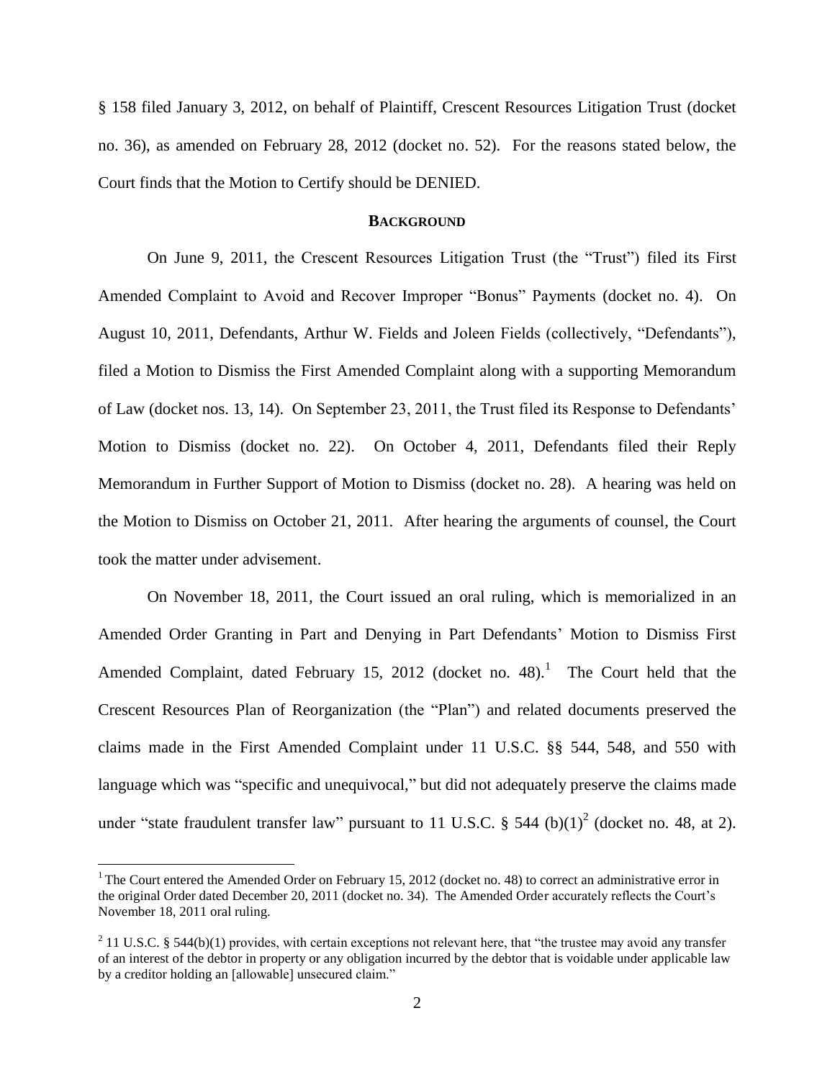§ 158 filed January 3, 2012, on behalf of Plaintiff, Crescent Resources Litigation Trust (docket no. 36), as amended on February 28, 2012 (docket no. 52). For the reasons stated below, the Court finds that the Motion to Certify should be DENIED.

#### **BACKGROUND**

On June 9, 2011, the Crescent Resources Litigation Trust (the "Trust") filed its First Amended Complaint to Avoid and Recover Improper "Bonus" Payments (docket no. 4). On August 10, 2011, Defendants, Arthur W. Fields and Joleen Fields (collectively, "Defendants"), filed a Motion to Dismiss the First Amended Complaint along with a supporting Memorandum of Law (docket nos. 13, 14). On September 23, 2011, the Trust filed its Response to Defendants' Motion to Dismiss (docket no. 22). On October 4, 2011, Defendants filed their Reply Memorandum in Further Support of Motion to Dismiss (docket no. 28). A hearing was held on the Motion to Dismiss on October 21, 2011. After hearing the arguments of counsel, the Court took the matter under advisement.

On November 18, 2011, the Court issued an oral ruling, which is memorialized in an Amended Order Granting in Part and Denying in Part Defendants' Motion to Dismiss First Amended Complaint, dated February 15, 2012 (docket no. 48).<sup>1</sup> The Court held that the Crescent Resources Plan of Reorganization (the "Plan") and related documents preserved the claims made in the First Amended Complaint under 11 U.S.C. §§ 544, 548, and 550 with language which was "specific and unequivocal," but did not adequately preserve the claims made under "state fraudulent transfer law" pursuant to 11 U.S.C.  $\S$  544 (b)(1)<sup>2</sup> (docket no. 48, at 2).

<sup>&</sup>lt;sup>1</sup> The Court entered the Amended Order on February 15, 2012 (docket no. 48) to correct an administrative error in the original Order dated December 20, 2011 (docket no. 34). The Amended Order accurately reflects the Court's November 18, 2011 oral ruling.

 $2$  11 U.S.C. § 544(b)(1) provides, with certain exceptions not relevant here, that "the trustee may avoid any transfer of an interest of the debtor in property or any obligation incurred by the debtor that is voidable under applicable law by a creditor holding an [allowable] unsecured claim."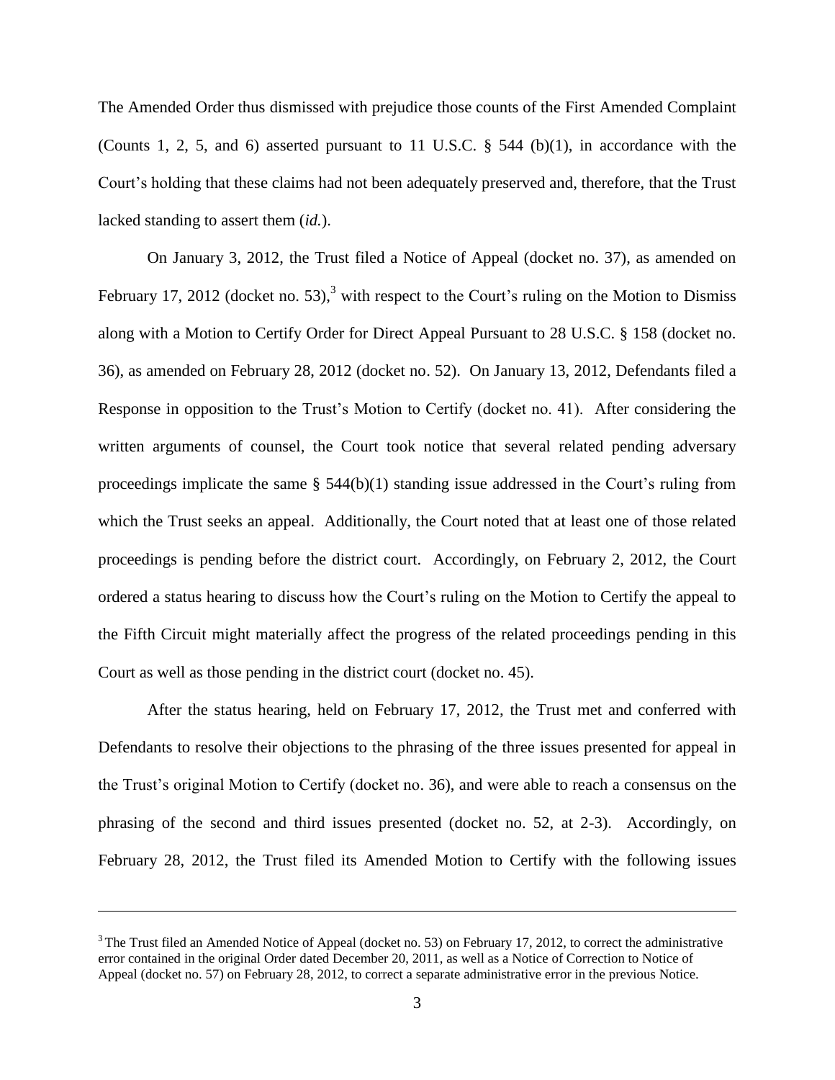The Amended Order thus dismissed with prejudice those counts of the First Amended Complaint (Counts 1, 2, 5, and 6) asserted pursuant to 11 U.S.C. § 544 (b)(1), in accordance with the Court's holding that these claims had not been adequately preserved and, therefore, that the Trust lacked standing to assert them (*id.*).

On January 3, 2012, the Trust filed a Notice of Appeal (docket no. 37), as amended on February 17, 2012 (docket no. 53),<sup>3</sup> with respect to the Court's ruling on the Motion to Dismiss along with a Motion to Certify Order for Direct Appeal Pursuant to 28 U.S.C. § 158 (docket no. 36), as amended on February 28, 2012 (docket no. 52). On January 13, 2012, Defendants filed a Response in opposition to the Trust's Motion to Certify (docket no. 41). After considering the written arguments of counsel, the Court took notice that several related pending adversary proceedings implicate the same § 544(b)(1) standing issue addressed in the Court's ruling from which the Trust seeks an appeal. Additionally, the Court noted that at least one of those related proceedings is pending before the district court. Accordingly, on February 2, 2012, the Court ordered a status hearing to discuss how the Court's ruling on the Motion to Certify the appeal to the Fifth Circuit might materially affect the progress of the related proceedings pending in this Court as well as those pending in the district court (docket no. 45).

After the status hearing, held on February 17, 2012, the Trust met and conferred with Defendants to resolve their objections to the phrasing of the three issues presented for appeal in the Trust's original Motion to Certify (docket no. 36), and were able to reach a consensus on the phrasing of the second and third issues presented (docket no. 52, at 2-3). Accordingly, on February 28, 2012, the Trust filed its Amended Motion to Certify with the following issues

 $3$  The Trust filed an Amended Notice of Appeal (docket no. 53) on February 17, 2012, to correct the administrative error contained in the original Order dated December 20, 2011, as well as a Notice of Correction to Notice of Appeal (docket no. 57) on February 28, 2012, to correct a separate administrative error in the previous Notice.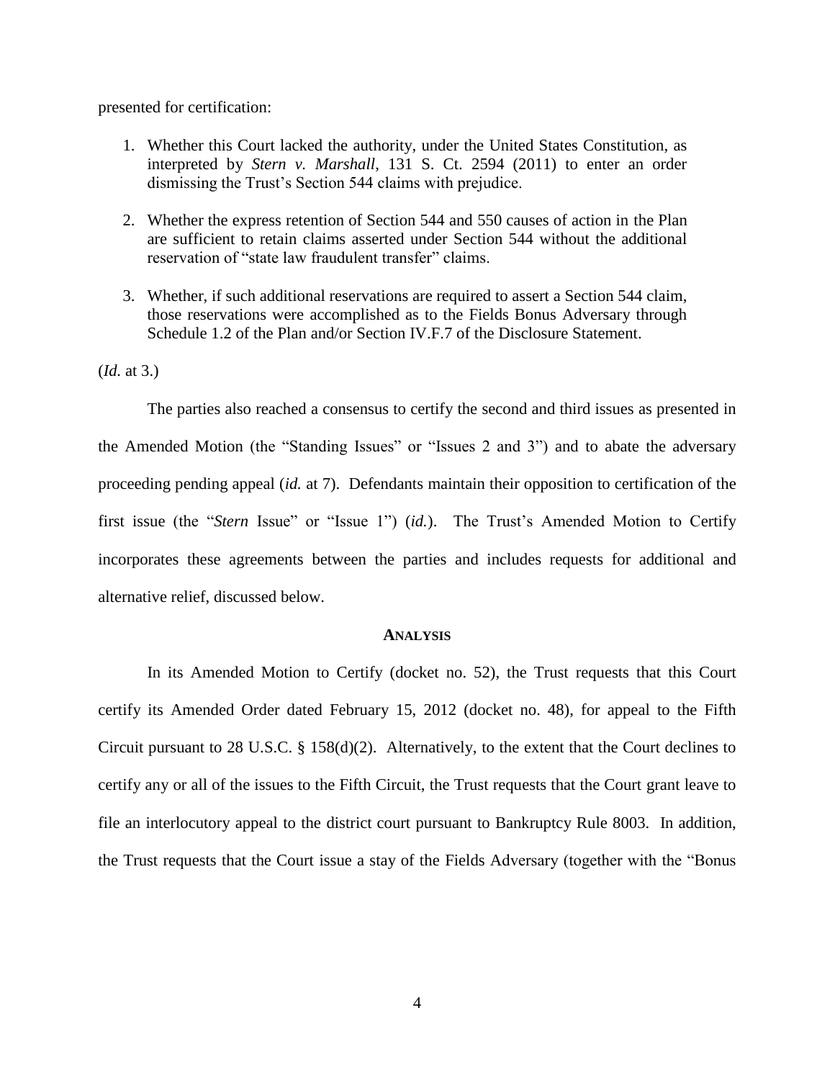presented for certification:

- 1. Whether this Court lacked the authority, under the United States Constitution, as interpreted by *Stern v. Marshall*, 131 S. Ct. 2594 (2011) to enter an order dismissing the Trust's Section 544 claims with prejudice.
- 2. Whether the express retention of Section 544 and 550 causes of action in the Plan are sufficient to retain claims asserted under Section 544 without the additional reservation of "state law fraudulent transfer" claims.
- 3. Whether, if such additional reservations are required to assert a Section 544 claim, those reservations were accomplished as to the Fields Bonus Adversary through Schedule 1.2 of the Plan and/or Section IV.F.7 of the Disclosure Statement.

(*Id.* at 3.)

The parties also reached a consensus to certify the second and third issues as presented in the Amended Motion (the "Standing Issues" or "Issues 2 and 3") and to abate the adversary proceeding pending appeal (*id.* at 7). Defendants maintain their opposition to certification of the first issue (the "*Stern* Issue" or "Issue 1") (*id.*). The Trust's Amended Motion to Certify incorporates these agreements between the parties and includes requests for additional and alternative relief, discussed below.

#### **ANALYSIS**

In its Amended Motion to Certify (docket no. 52), the Trust requests that this Court certify its Amended Order dated February 15, 2012 (docket no. 48), for appeal to the Fifth Circuit pursuant to 28 U.S.C. § 158(d)(2). Alternatively, to the extent that the Court declines to certify any or all of the issues to the Fifth Circuit, the Trust requests that the Court grant leave to file an interlocutory appeal to the district court pursuant to Bankruptcy Rule 8003. In addition, the Trust requests that the Court issue a stay of the Fields Adversary (together with the "Bonus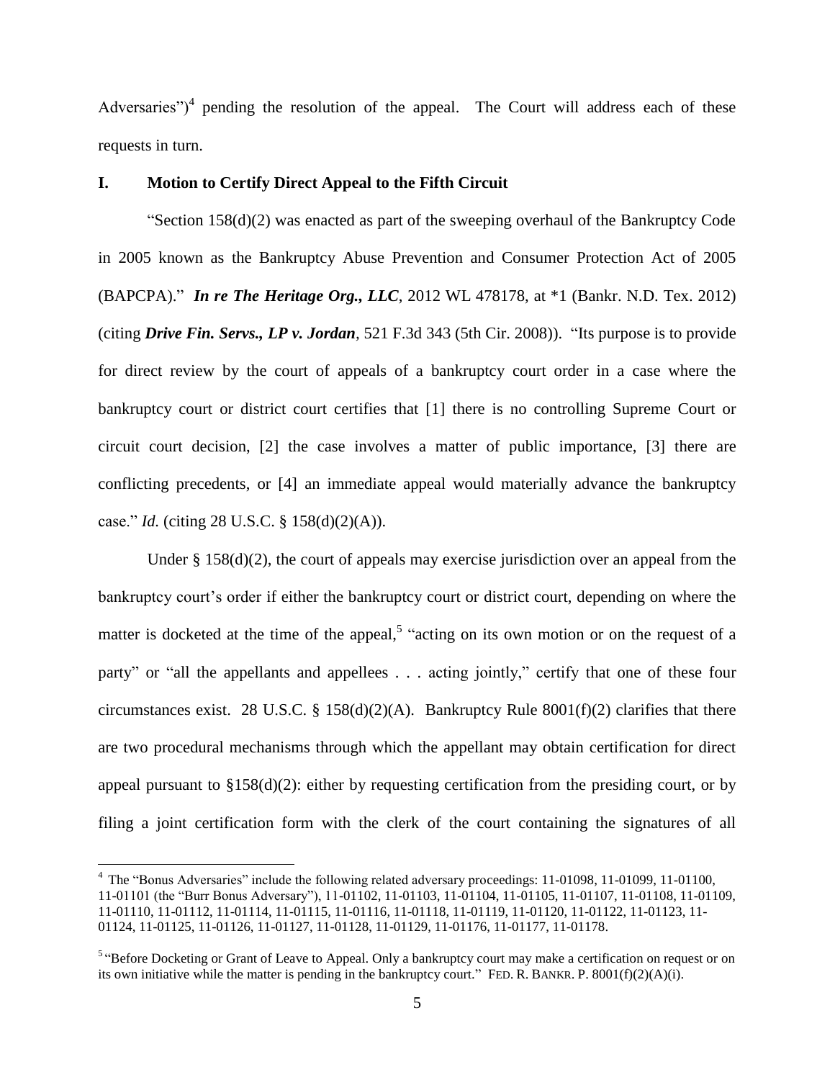Adversaries")<sup>4</sup> pending the resolution of the appeal. The Court will address each of these requests in turn.

## **I. Motion to Certify Direct Appeal to the Fifth Circuit**

"Section  $158(d)(2)$  was enacted as part of the sweeping overhaul of the Bankruptcy Code in 2005 known as the Bankruptcy Abuse Prevention and Consumer Protection Act of 2005 (BAPCPA)." *In re The Heritage Org., LLC*, 2012 WL 478178, at \*1 (Bankr. N.D. Tex. 2012) (citing *Drive Fin. Servs., LP v. Jordan,* 521 F.3d 343 (5th Cir. 2008)). "Its purpose is to provide for direct review by the court of appeals of a bankruptcy court order in a case where the bankruptcy court or district court certifies that [1] there is no controlling Supreme Court or circuit court decision, [2] the case involves a matter of public importance, [3] there are conflicting precedents, or [4] an immediate appeal would materially advance the bankruptcy case." *Id.* (citing 28 U.S.C. § 158(d)(2)(A)).

Under  $\S 158(d)(2)$ , the court of appeals may exercise jurisdiction over an appeal from the bankruptcy court's order if either the bankruptcy court or district court, depending on where the matter is docketed at the time of the appeal,<sup>5</sup> "acting on its own motion or on the request of a party" or "all the appellants and appellees . . . acting jointly," certify that one of these four circumstances exist. 28 U.S.C. § 158(d)(2)(A). Bankruptcy Rule 8001(f)(2) clarifies that there are two procedural mechanisms through which the appellant may obtain certification for direct appeal pursuant to  $$158(d)(2)$ : either by requesting certification from the presiding court, or by filing a joint certification form with the clerk of the court containing the signatures of all

<sup>4</sup> The "Bonus Adversaries" include the following related adversary proceedings: 11-01098, 11-01099, 11-01100, 11-01101 (the "Burr Bonus Adversary"), 11-01102, 11-01103, 11-01104, 11-01105, 11-01107, 11-01108, 11-01109, 11-01110, 11-01112, 11-01114, 11-01115, 11-01116, 11-01118, 11-01119, 11-01120, 11-01122, 11-01123, 11- 01124, 11-01125, 11-01126, 11-01127, 11-01128, 11-01129, 11-01176, 11-01177, 11-01178.

<sup>&</sup>lt;sup>5 "</sup>Before Docketing or Grant of Leave to Appeal. Only a bankruptcy court may make a certification on request or on its own initiative while the matter is pending in the bankruptcy court." FED. R. BANKR. P. 8001(f)(2)(A)(i).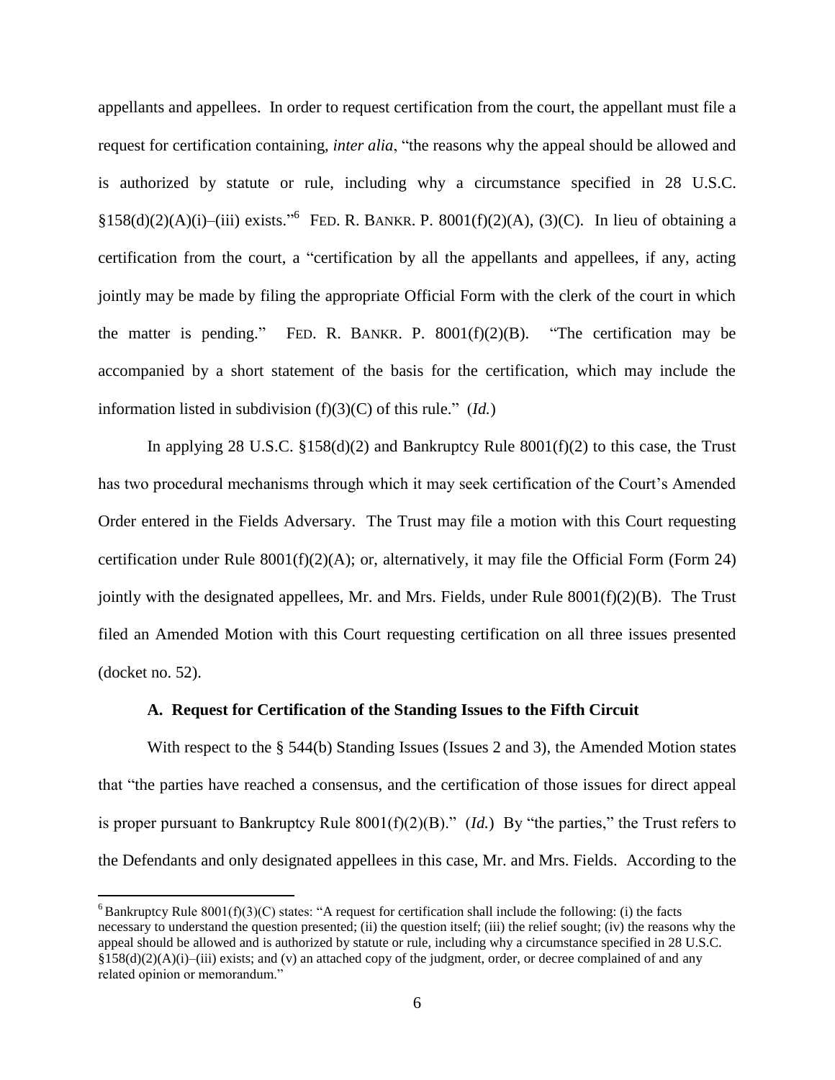appellants and appellees. In order to request certification from the court, the appellant must file a request for certification containing, *inter alia*, "the reasons why the appeal should be allowed and is authorized by statute or rule, including why a circumstance specified in 28 U.S.C.  $$158(d)(2)(A)(i)–(iii) exists.<sup>66</sup> FED. R. BANKR. P. 8001(f)(2)(A), (3)(C). In lieu of obtaining a$ certification from the court, a "certification by all the appellants and appellees, if any, acting jointly may be made by filing the appropriate Official Form with the clerk of the court in which the matter is pending." FED. R. BANKR. P.  $8001(f)(2)(B)$ . "The certification may be accompanied by a short statement of the basis for the certification, which may include the information listed in subdivision (f)(3)(C) of this rule." (*Id.*)

In applying 28 U.S.C.  $\S 158(d)(2)$  and Bankruptcy Rule  $8001(f)(2)$  to this case, the Trust has two procedural mechanisms through which it may seek certification of the Court's Amended Order entered in the Fields Adversary. The Trust may file a motion with this Court requesting certification under Rule 8001(f)(2)(A); or, alternatively, it may file the Official Form (Form 24) jointly with the designated appellees, Mr. and Mrs. Fields, under Rule  $8001(f)(2)(B)$ . The Trust filed an Amended Motion with this Court requesting certification on all three issues presented (docket no. 52).

### **A. Request for Certification of the Standing Issues to the Fifth Circuit**

With respect to the § 544(b) Standing Issues (Issues 2 and 3), the Amended Motion states that "the parties have reached a consensus, and the certification of those issues for direct appeal is proper pursuant to Bankruptcy Rule 8001(f)(2)(B)." (*Id.*) By "the parties," the Trust refers to the Defendants and only designated appellees in this case, Mr. and Mrs. Fields. According to the

 $6$  Bankruptcy Rule 8001(f)(3)(C) states: "A request for certification shall include the following: (i) the facts necessary to understand the question presented; (ii) the question itself; (iii) the relief sought; (iv) the reasons why the appeal should be allowed and is authorized by statute or rule, including why a circumstance specified in 28 U.S.C.  $§158(d)(2)(A)(i)–(iii)$  exists; and (v) an attached copy of the judgment, order, or decree complained of and any related opinion or memorandum."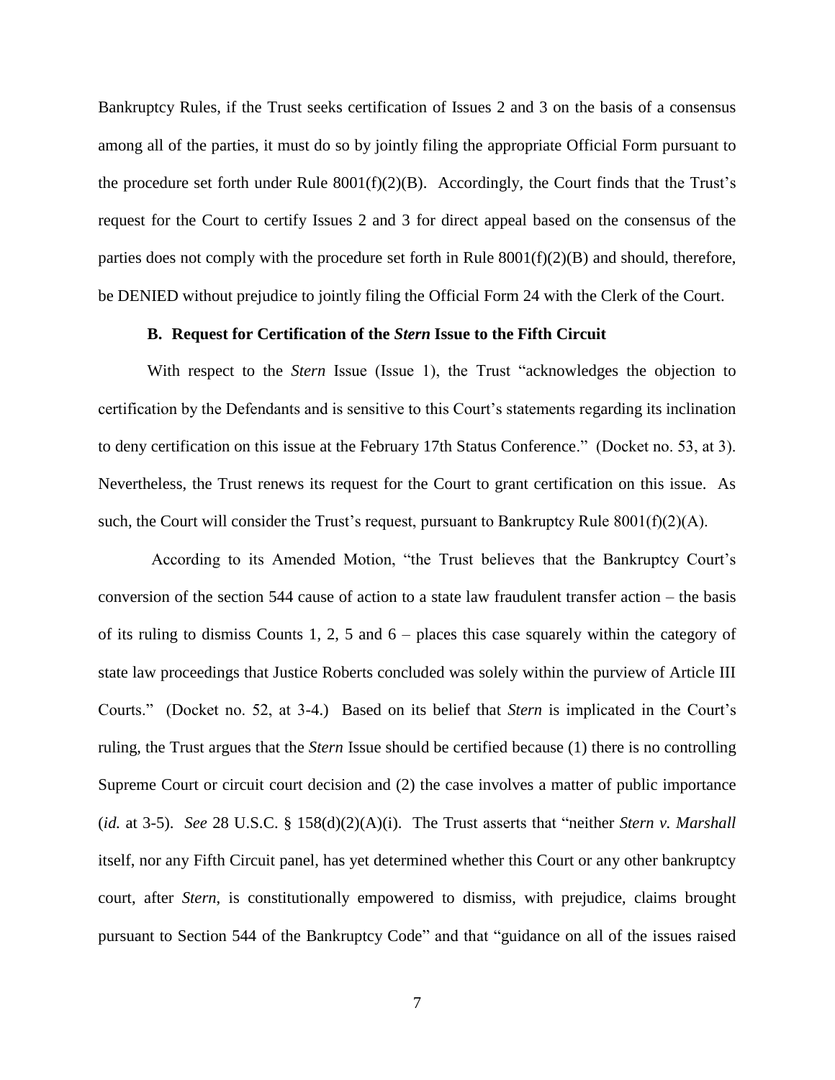Bankruptcy Rules, if the Trust seeks certification of Issues 2 and 3 on the basis of a consensus among all of the parties, it must do so by jointly filing the appropriate Official Form pursuant to the procedure set forth under Rule  $8001(f)(2)(B)$ . Accordingly, the Court finds that the Trust's request for the Court to certify Issues 2 and 3 for direct appeal based on the consensus of the parties does not comply with the procedure set forth in Rule  $8001(f)(2)(B)$  and should, therefore, be DENIED without prejudice to jointly filing the Official Form 24 with the Clerk of the Court.

## **B. Request for Certification of the** *Stern* **Issue to the Fifth Circuit**

With respect to the *Stern* Issue (Issue 1), the Trust "acknowledges the objection to certification by the Defendants and is sensitive to this Court's statements regarding its inclination to deny certification on this issue at the February 17th Status Conference." (Docket no. 53, at 3). Nevertheless, the Trust renews its request for the Court to grant certification on this issue. As such, the Court will consider the Trust's request, pursuant to Bankruptcy Rule  $8001(f)(2)(A)$ .

According to its Amended Motion, "the Trust believes that the Bankruptcy Court's conversion of the section 544 cause of action to a state law fraudulent transfer action – the basis of its ruling to dismiss Counts 1, 2, 5 and 6 – places this case squarely within the category of state law proceedings that Justice Roberts concluded was solely within the purview of Article III Courts." (Docket no. 52, at 3-4.) Based on its belief that *Stern* is implicated in the Court's ruling, the Trust argues that the *Stern* Issue should be certified because (1) there is no controlling Supreme Court or circuit court decision and (2) the case involves a matter of public importance (*id.* at 3-5). *See* 28 U.S.C. § 158(d)(2)(A)(i). The Trust asserts that "neither *Stern v. Marshall* itself, nor any Fifth Circuit panel, has yet determined whether this Court or any other bankruptcy court, after *Stern*, is constitutionally empowered to dismiss, with prejudice, claims brought pursuant to Section 544 of the Bankruptcy Code" and that "guidance on all of the issues raised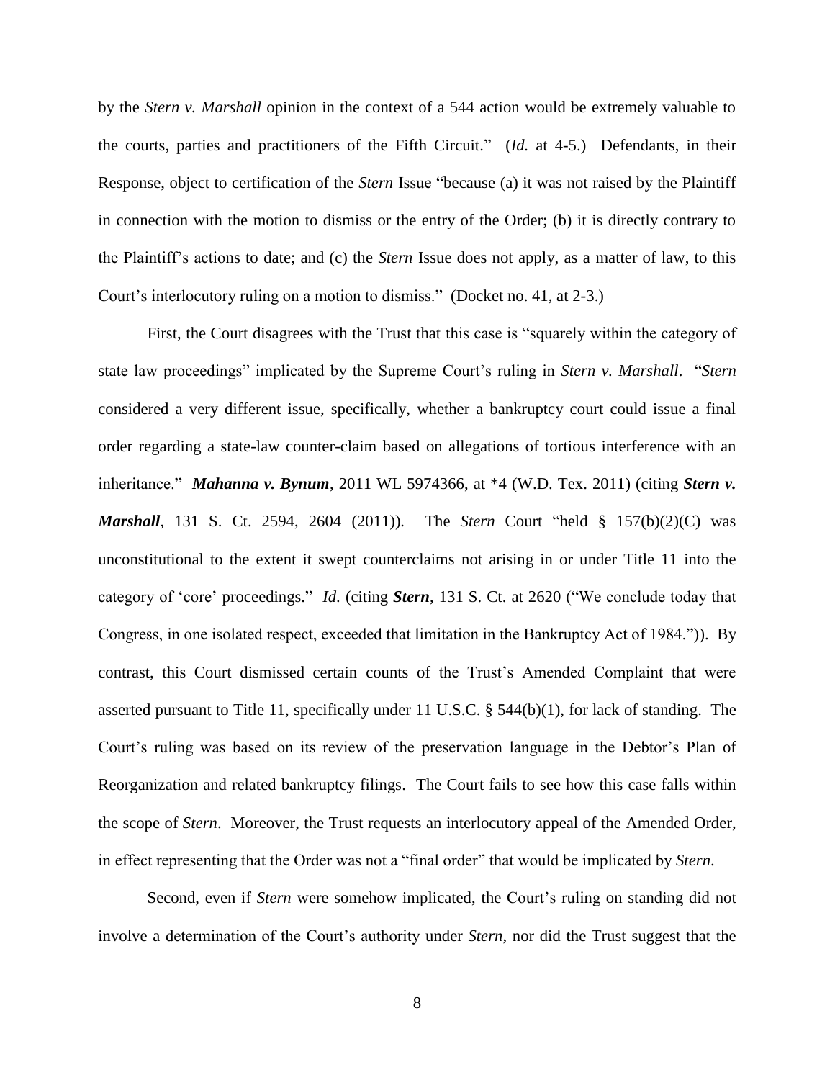by the *Stern v. Marshall* opinion in the context of a 544 action would be extremely valuable to the courts, parties and practitioners of the Fifth Circuit." (*Id.* at 4-5.) Defendants, in their Response, object to certification of the *Stern* Issue "because (a) it was not raised by the Plaintiff in connection with the motion to dismiss or the entry of the Order; (b) it is directly contrary to the Plaintiff's actions to date; and (c) the *Stern* Issue does not apply, as a matter of law, to this Court's interlocutory ruling on a motion to dismiss." (Docket no. 41, at 2-3.)

First, the Court disagrees with the Trust that this case is "squarely within the category of state law proceedings" implicated by the Supreme Court's ruling in *Stern v. Marshall*. "*Stern* considered a very different issue, specifically, whether a bankruptcy court could issue a final order regarding a state-law counter-claim based on allegations of tortious interference with an inheritance." *Mahanna v. Bynum*, 2011 WL 5974366, at \*4 (W.D. Tex. 2011) (citing *Stern v. Marshall*, 131 S. Ct. 2594, 2604 (2011)). The *Stern* Court "held § 157(b)(2)(C) was unconstitutional to the extent it swept counterclaims not arising in or under Title 11 into the category of 'core' proceedings." *Id*. (citing *Stern*, 131 S. Ct. at 2620 ("We conclude today that Congress, in one isolated respect, exceeded that limitation in the Bankruptcy Act of 1984.")). By contrast, this Court dismissed certain counts of the Trust's Amended Complaint that were asserted pursuant to Title 11, specifically under 11 U.S.C. § 544(b)(1), for lack of standing. The Court's ruling was based on its review of the preservation language in the Debtor's Plan of Reorganization and related bankruptcy filings. The Court fails to see how this case falls within the scope of *Stern*. Moreover, the Trust requests an interlocutory appeal of the Amended Order, in effect representing that the Order was not a "final order" that would be implicated by *Stern*.

Second, even if *Stern* were somehow implicated, the Court's ruling on standing did not involve a determination of the Court's authority under *Stern*, nor did the Trust suggest that the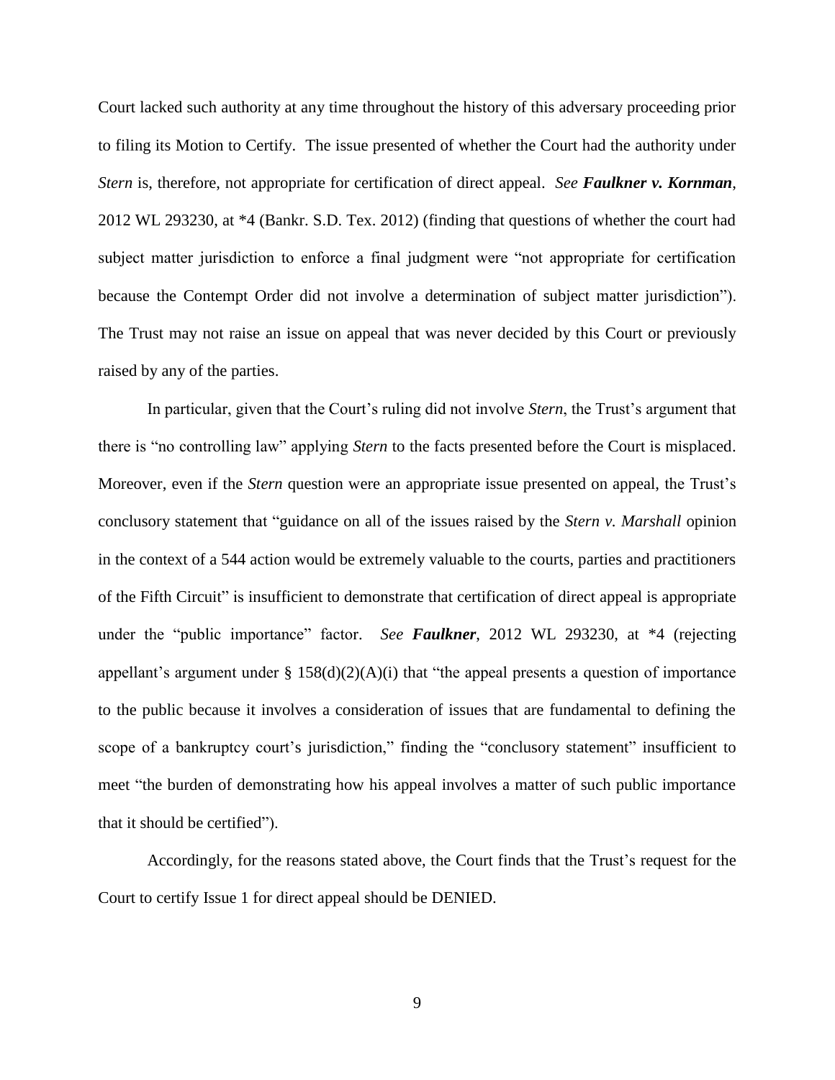Court lacked such authority at any time throughout the history of this adversary proceeding prior to filing its Motion to Certify. The issue presented of whether the Court had the authority under *Stern* is, therefore, not appropriate for certification of direct appeal. *See Faulkner v. Kornman*, 2012 WL 293230, at \*4 (Bankr. S.D. Tex. 2012) (finding that questions of whether the court had subject matter jurisdiction to enforce a final judgment were "not appropriate for certification because the Contempt Order did not involve a determination of subject matter jurisdiction"). The Trust may not raise an issue on appeal that was never decided by this Court or previously raised by any of the parties.

In particular, given that the Court's ruling did not involve *Stern*, the Trust's argument that there is "no controlling law" applying *Stern* to the facts presented before the Court is misplaced. Moreover, even if the *Stern* question were an appropriate issue presented on appeal, the Trust's conclusory statement that "guidance on all of the issues raised by the *Stern v. Marshall* opinion in the context of a 544 action would be extremely valuable to the courts, parties and practitioners of the Fifth Circuit" is insufficient to demonstrate that certification of direct appeal is appropriate under the "public importance" factor. *See Faulkner*, 2012 WL 293230, at \*4 (rejecting appellant's argument under  $\S$  158(d)(2)(A)(i) that "the appeal presents a question of importance to the public because it involves a consideration of issues that are fundamental to defining the scope of a bankruptcy court's jurisdiction," finding the "conclusory statement" insufficient to meet "the burden of demonstrating how his appeal involves a matter of such public importance that it should be certified").

Accordingly, for the reasons stated above, the Court finds that the Trust's request for the Court to certify Issue 1 for direct appeal should be DENIED.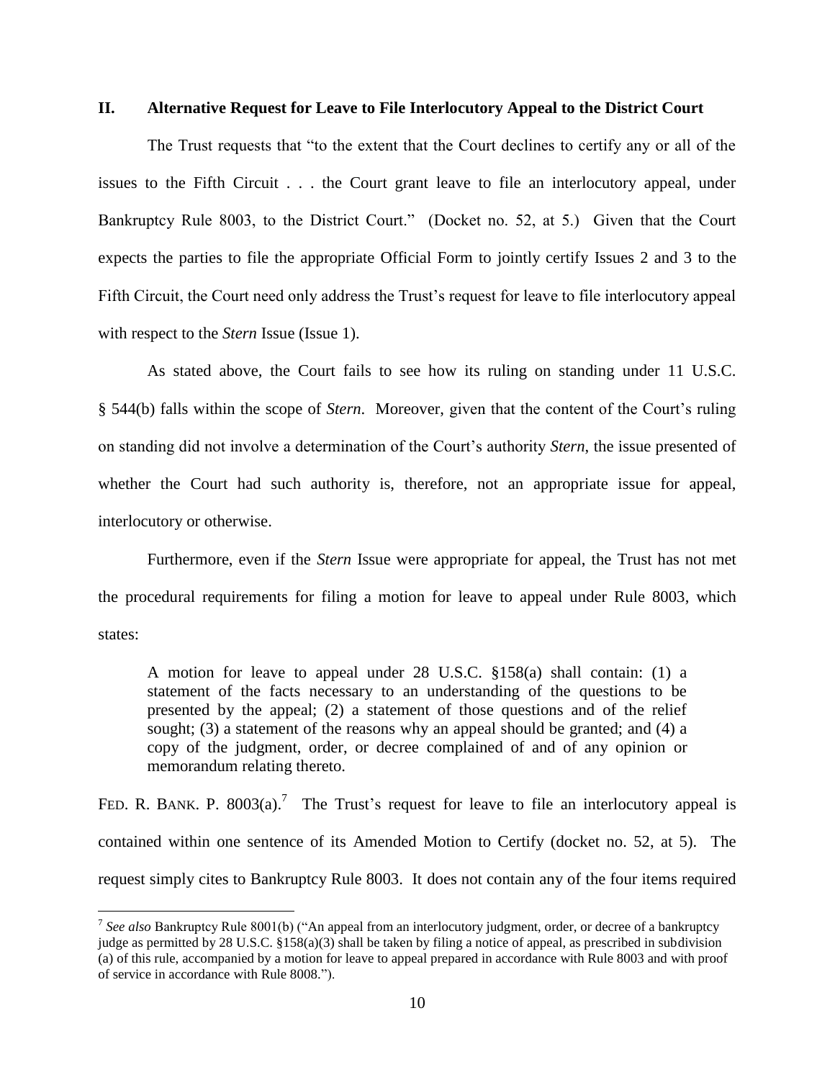#### **II. Alternative Request for Leave to File Interlocutory Appeal to the District Court**

The Trust requests that "to the extent that the Court declines to certify any or all of the issues to the Fifth Circuit . . . the Court grant leave to file an interlocutory appeal, under Bankruptcy Rule 8003, to the District Court." (Docket no. 52, at 5.) Given that the Court expects the parties to file the appropriate Official Form to jointly certify Issues 2 and 3 to the Fifth Circuit, the Court need only address the Trust's request for leave to file interlocutory appeal with respect to the *Stern* Issue (Issue 1).

As stated above, the Court fails to see how its ruling on standing under 11 U.S.C. § 544(b) falls within the scope of *Stern*. Moreover, given that the content of the Court's ruling on standing did not involve a determination of the Court's authority *Stern*, the issue presented of whether the Court had such authority is, therefore, not an appropriate issue for appeal, interlocutory or otherwise.

Furthermore, even if the *Stern* Issue were appropriate for appeal, the Trust has not met the procedural requirements for filing a motion for leave to appeal under Rule 8003, which states:

A motion for leave to appeal under 28 U.S.C. §158(a) shall contain: (1) a statement of the facts necessary to an understanding of the questions to be presented by the appeal; (2) a statement of those questions and of the relief sought; (3) a statement of the reasons why an appeal should be granted; and (4) a copy of the judgment, order, or decree complained of and of any opinion or memorandum relating thereto.

FED. R. BANK. P. 8003(a).<sup>7</sup> The Trust's request for leave to file an interlocutory appeal is contained within one sentence of its Amended Motion to Certify (docket no. 52, at 5). The request simply cites to Bankruptcy Rule 8003. It does not contain any of the four items required

<sup>7</sup> *See also* Bankruptcy Rule 8001(b) ("An appeal from an interlocutory judgment, order, or decree of a bankruptcy judge as permitted by 28 U.S.C. §158(a)(3) shall be taken by filing a notice of appeal, as prescribed in subdivision (a) of this rule, accompanied by a motion for leave to appeal prepared in accordance with Rule 8003 and with proof of service in accordance with Rule 8008.").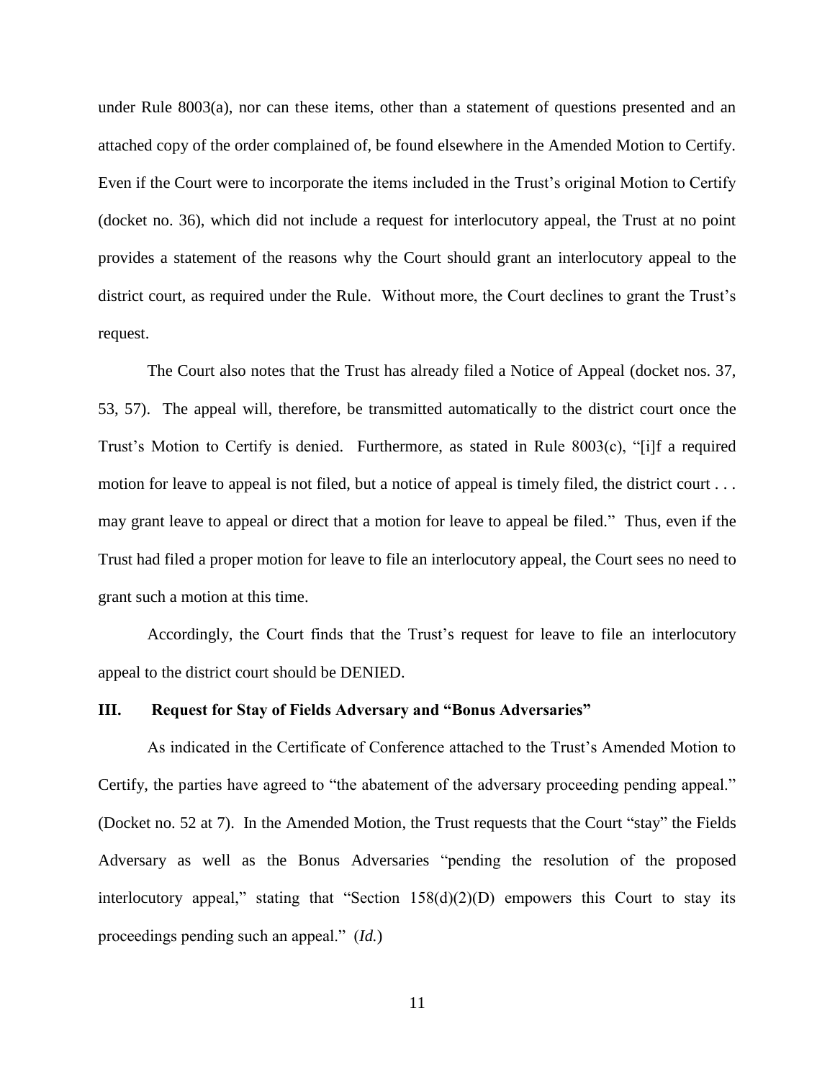under Rule 8003(a), nor can these items, other than a statement of questions presented and an attached copy of the order complained of, be found elsewhere in the Amended Motion to Certify. Even if the Court were to incorporate the items included in the Trust's original Motion to Certify (docket no. 36), which did not include a request for interlocutory appeal, the Trust at no point provides a statement of the reasons why the Court should grant an interlocutory appeal to the district court, as required under the Rule. Without more, the Court declines to grant the Trust's request.

The Court also notes that the Trust has already filed a Notice of Appeal (docket nos. 37, 53, 57). The appeal will, therefore, be transmitted automatically to the district court once the Trust's Motion to Certify is denied. Furthermore, as stated in Rule 8003(c), "[i]f a required motion for leave to appeal is not filed, but a notice of appeal is timely filed, the district court . . . may grant leave to appeal or direct that a motion for leave to appeal be filed." Thus, even if the Trust had filed a proper motion for leave to file an interlocutory appeal, the Court sees no need to grant such a motion at this time.

Accordingly, the Court finds that the Trust's request for leave to file an interlocutory appeal to the district court should be DENIED.

### **III. Request for Stay of Fields Adversary and "Bonus Adversaries"**

As indicated in the Certificate of Conference attached to the Trust's Amended Motion to Certify, the parties have agreed to "the abatement of the adversary proceeding pending appeal." (Docket no. 52 at 7). In the Amended Motion, the Trust requests that the Court "stay" the Fields Adversary as well as the Bonus Adversaries "pending the resolution of the proposed interlocutory appeal," stating that "Section  $158(d)(2)(D)$  empowers this Court to stay its proceedings pending such an appeal." (*Id.*)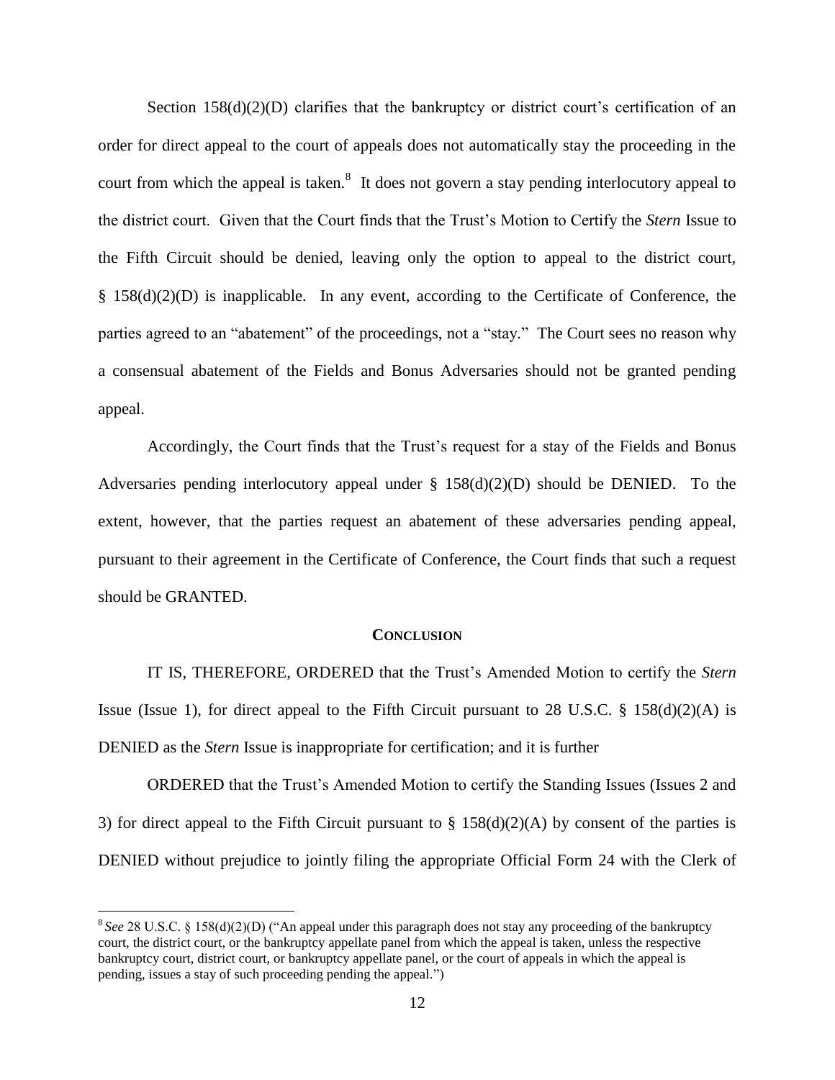Section  $158(d)(2)(D)$  clarifies that the bankruptcy or district court's certification of an order for direct appeal to the court of appeals does not automatically stay the proceeding in the court from which the appeal is taken.<sup>8</sup> It does not govern a stay pending interlocutory appeal to the district court. Given that the Court finds that the Trust's Motion to Certify the *Stern* Issue to the Fifth Circuit should be denied, leaving only the option to appeal to the district court, § 158(d)(2)(D) is inapplicable. In any event, according to the Certificate of Conference, the parties agreed to an "abatement" of the proceedings, not a "stay." The Court sees no reason why a consensual abatement of the Fields and Bonus Adversaries should not be granted pending appeal.

Accordingly, the Court finds that the Trust's request for a stay of the Fields and Bonus Adversaries pending interlocutory appeal under  $\S$  158(d)(2)(D) should be DENIED. To the extent, however, that the parties request an abatement of these adversaries pending appeal, pursuant to their agreement in the Certificate of Conference, the Court finds that such a request should be GRANTED.

#### **CONCLUSION**

IT IS, THEREFORE, ORDERED that the Trust's Amended Motion to certify the *Stern* Issue (Issue 1), for direct appeal to the Fifth Circuit pursuant to 28 U.S.C.  $\S$  158(d)(2)(A) is DENIED as the *Stern* Issue is inappropriate for certification; and it is further

ORDERED that the Trust's Amended Motion to certify the Standing Issues (Issues 2 and 3) for direct appeal to the Fifth Circuit pursuant to  $\S$  158(d)(2)(A) by consent of the parties is DENIED without prejudice to jointly filing the appropriate Official Form 24 with the Clerk of

<sup>&</sup>lt;sup>8</sup> See 28 U.S.C. § 158(d)(2)(D) ("An appeal under this paragraph does not stay any proceeding of the bankruptcy court, the district court, or the bankruptcy appellate panel from which the appeal is taken, unless the respective bankruptcy court, district court, or bankruptcy appellate panel, or the court of appeals in which the appeal is pending, issues a stay of such proceeding pending the appeal.")